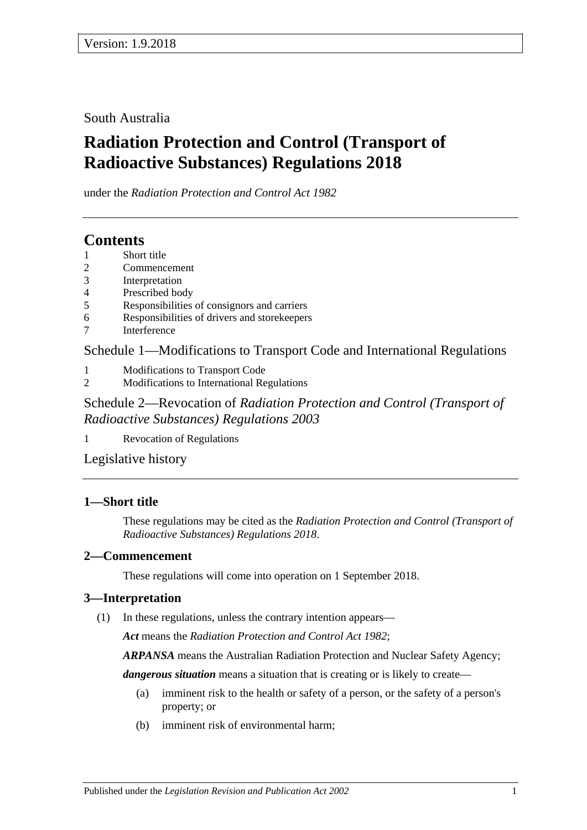South Australia

# **Radiation Protection and Control (Transport of Radioactive Substances) Regulations 2018**

under the *Radiation Protection and Control Act 1982*

## **Contents**

- 1 [Short title](#page-0-0)
- 2 [Commencement](#page-0-1)
- 3 [Interpretation](#page-0-2)
- 4 [Prescribed body](#page-1-0)
- 5 [Responsibilities of consignors and carriers](#page-1-1)
- 6 [Responsibilities of drivers and storekeepers](#page-4-0)
- 7 [Interference](#page-5-0)

Schedule [1—Modifications to Transport Code and International Regulations](#page-5-1)

- 1 [Modifications to Transport Code](#page-5-2)
- 2 [Modifications to International Regulations](#page-6-0)

Schedule 2—Revocation of *[Radiation Protection and Control \(Transport of](#page-6-1)  [Radioactive Substances\) Regulations](#page-6-1) 2003*

1 [Revocation of Regulations](#page-6-2)

[Legislative history](#page-7-0)

### <span id="page-0-0"></span>**1—Short title**

These regulations may be cited as the *Radiation Protection and Control (Transport of Radioactive Substances) Regulations 2018*.

### <span id="page-0-1"></span>**2—Commencement**

These regulations will come into operation on 1 September 2018.

## <span id="page-0-2"></span>**3—Interpretation**

(1) In these regulations, unless the contrary intention appears—

*Act* means the *[Radiation Protection and Control Act](http://www.legislation.sa.gov.au/index.aspx?action=legref&type=act&legtitle=Radiation%20Protection%20and%20Control%20Act%201982) 1982*;

*ARPANSA* means the Australian Radiation Protection and Nuclear Safety Agency;

*dangerous situation* means a situation that is creating or is likely to create—

- (a) imminent risk to the health or safety of a person, or the safety of a person's property; or
- (b) imminent risk of environmental harm;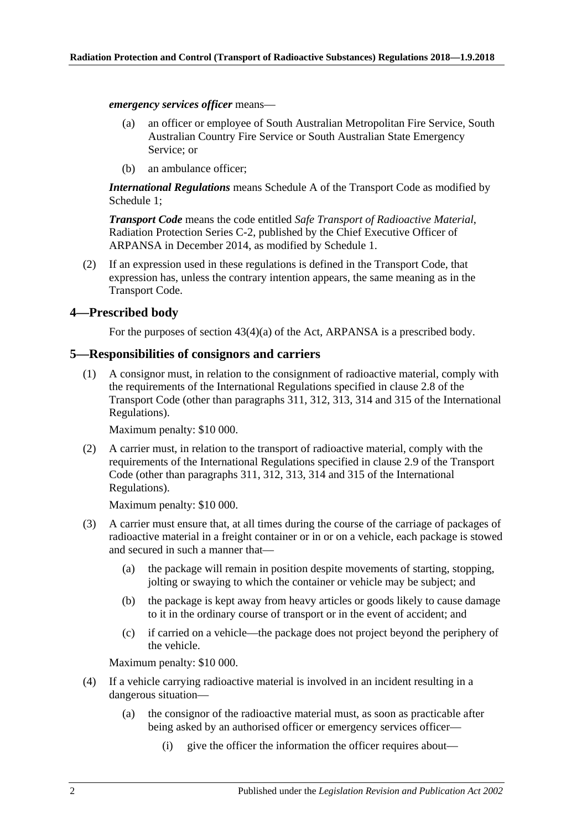*emergency services officer* means—

- (a) an officer or employee of South Australian Metropolitan Fire Service, South Australian Country Fire Service or South Australian State Emergency Service; or
- (b) an ambulance officer;

*International Regulations* means Schedule A of the Transport Code as modified by [Schedule](#page-5-1) 1;

*Transport Code* means the code entitled *Safe Transport of Radioactive Material*, Radiation Protection Series C-2, published by the Chief Executive Officer of ARPANSA in December 2014, as modified by [Schedule](#page-5-1) 1.

(2) If an expression used in these regulations is defined in the Transport Code, that expression has, unless the contrary intention appears, the same meaning as in the Transport Code.

### <span id="page-1-0"></span>**4—Prescribed body**

For the purposes of section 43(4)(a) of the Act, ARPANSA is a prescribed body.

### <span id="page-1-1"></span>**5—Responsibilities of consignors and carriers**

(1) A consignor must, in relation to the consignment of radioactive material, comply with the requirements of the International Regulations specified in clause 2.8 of the Transport Code (other than paragraphs 311, 312, 313, 314 and 315 of the International Regulations).

Maximum penalty: \$10 000.

(2) A carrier must, in relation to the transport of radioactive material, comply with the requirements of the International Regulations specified in clause 2.9 of the Transport Code (other than paragraphs 311, 312, 313, 314 and 315 of the International Regulations).

Maximum penalty: \$10 000.

- (3) A carrier must ensure that, at all times during the course of the carriage of packages of radioactive material in a freight container or in or on a vehicle, each package is stowed and secured in such a manner that—
	- (a) the package will remain in position despite movements of starting, stopping, jolting or swaying to which the container or vehicle may be subject; and
	- (b) the package is kept away from heavy articles or goods likely to cause damage to it in the ordinary course of transport or in the event of accident; and
	- (c) if carried on a vehicle—the package does not project beyond the periphery of the vehicle.

Maximum penalty: \$10 000.

- <span id="page-1-2"></span>(4) If a vehicle carrying radioactive material is involved in an incident resulting in a dangerous situation—
	- (a) the consignor of the radioactive material must, as soon as practicable after being asked by an authorised officer or emergency services officer—
		- (i) give the officer the information the officer requires about—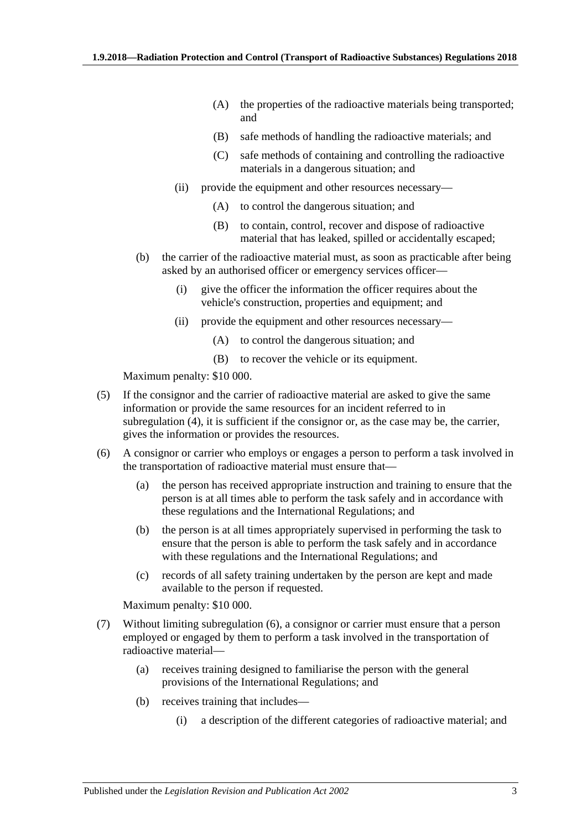- (A) the properties of the radioactive materials being transported; and
- (B) safe methods of handling the radioactive materials; and
- (C) safe methods of containing and controlling the radioactive materials in a dangerous situation; and
- (ii) provide the equipment and other resources necessary—
	- (A) to control the dangerous situation; and
	- (B) to contain, control, recover and dispose of radioactive material that has leaked, spilled or accidentally escaped;
- (b) the carrier of the radioactive material must, as soon as practicable after being asked by an authorised officer or emergency services officer—
	- (i) give the officer the information the officer requires about the vehicle's construction, properties and equipment; and
	- (ii) provide the equipment and other resources necessary—
		- (A) to control the dangerous situation; and
		- (B) to recover the vehicle or its equipment.

Maximum penalty: \$10 000.

- (5) If the consignor and the carrier of radioactive material are asked to give the same information or provide the same resources for an incident referred to in [subregulation](#page-1-2) (4), it is sufficient if the consignor or, as the case may be, the carrier, gives the information or provides the resources.
- <span id="page-2-0"></span>(6) A consignor or carrier who employs or engages a person to perform a task involved in the transportation of radioactive material must ensure that—
	- (a) the person has received appropriate instruction and training to ensure that the person is at all times able to perform the task safely and in accordance with these regulations and the International Regulations; and
	- (b) the person is at all times appropriately supervised in performing the task to ensure that the person is able to perform the task safely and in accordance with these regulations and the International Regulations; and
	- (c) records of all safety training undertaken by the person are kept and made available to the person if requested.

Maximum penalty: \$10 000.

- <span id="page-2-1"></span>(7) Without limiting [subregulation](#page-2-0) (6), a consignor or carrier must ensure that a person employed or engaged by them to perform a task involved in the transportation of radioactive material—
	- (a) receives training designed to familiarise the person with the general provisions of the International Regulations; and
	- (b) receives training that includes—
		- (i) a description of the different categories of radioactive material; and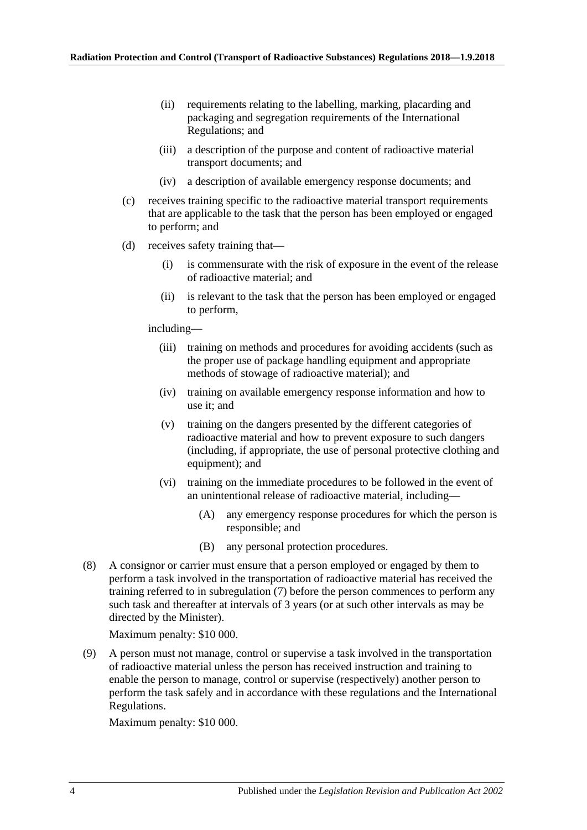- (ii) requirements relating to the labelling, marking, placarding and packaging and segregation requirements of the International Regulations; and
- (iii) a description of the purpose and content of radioactive material transport documents; and
- (iv) a description of available emergency response documents; and
- (c) receives training specific to the radioactive material transport requirements that are applicable to the task that the person has been employed or engaged to perform; and
- (d) receives safety training that—
	- (i) is commensurate with the risk of exposure in the event of the release of radioactive material; and
	- (ii) is relevant to the task that the person has been employed or engaged to perform,

including—

- (iii) training on methods and procedures for avoiding accidents (such as the proper use of package handling equipment and appropriate methods of stowage of radioactive material); and
- (iv) training on available emergency response information and how to use it; and
- (v) training on the dangers presented by the different categories of radioactive material and how to prevent exposure to such dangers (including, if appropriate, the use of personal protective clothing and equipment); and
- (vi) training on the immediate procedures to be followed in the event of an unintentional release of radioactive material, including—
	- (A) any emergency response procedures for which the person is responsible; and
	- (B) any personal protection procedures.
- (8) A consignor or carrier must ensure that a person employed or engaged by them to perform a task involved in the transportation of radioactive material has received the training referred to in [subregulation](#page-2-1) (7) before the person commences to perform any such task and thereafter at intervals of 3 years (or at such other intervals as may be directed by the Minister).

Maximum penalty: \$10 000.

(9) A person must not manage, control or supervise a task involved in the transportation of radioactive material unless the person has received instruction and training to enable the person to manage, control or supervise (respectively) another person to perform the task safely and in accordance with these regulations and the International Regulations.

Maximum penalty: \$10 000.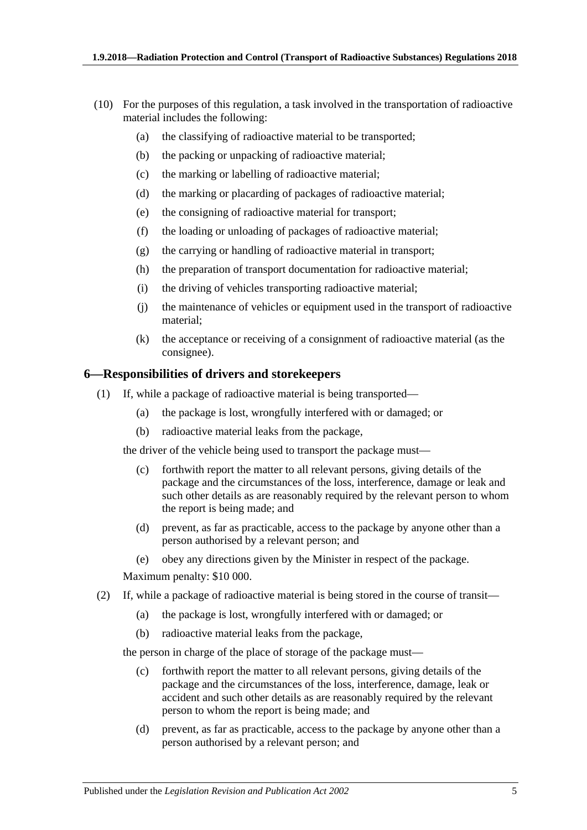- (10) For the purposes of this regulation, a task involved in the transportation of radioactive material includes the following:
	- (a) the classifying of radioactive material to be transported;
	- (b) the packing or unpacking of radioactive material;
	- (c) the marking or labelling of radioactive material;
	- (d) the marking or placarding of packages of radioactive material;
	- (e) the consigning of radioactive material for transport;
	- (f) the loading or unloading of packages of radioactive material;
	- (g) the carrying or handling of radioactive material in transport;
	- (h) the preparation of transport documentation for radioactive material;
	- (i) the driving of vehicles transporting radioactive material;
	- (j) the maintenance of vehicles or equipment used in the transport of radioactive material;
	- (k) the acceptance or receiving of a consignment of radioactive material (as the consignee).

### <span id="page-4-0"></span>**6—Responsibilities of drivers and storekeepers**

- (1) If, while a package of radioactive material is being transported—
	- (a) the package is lost, wrongfully interfered with or damaged; or
	- (b) radioactive material leaks from the package,

<span id="page-4-1"></span>the driver of the vehicle being used to transport the package must—

- (c) forthwith report the matter to all relevant persons, giving details of the package and the circumstances of the loss, interference, damage or leak and such other details as are reasonably required by the relevant person to whom the report is being made; and
- (d) prevent, as far as practicable, access to the package by anyone other than a person authorised by a relevant person; and
- (e) obey any directions given by the Minister in respect of the package.

Maximum penalty: \$10 000.

- (2) If, while a package of radioactive material is being stored in the course of transit—
	- (a) the package is lost, wrongfully interfered with or damaged; or
	- (b) radioactive material leaks from the package,

<span id="page-4-2"></span>the person in charge of the place of storage of the package must—

- (c) forthwith report the matter to all relevant persons, giving details of the package and the circumstances of the loss, interference, damage, leak or accident and such other details as are reasonably required by the relevant person to whom the report is being made; and
- (d) prevent, as far as practicable, access to the package by anyone other than a person authorised by a relevant person; and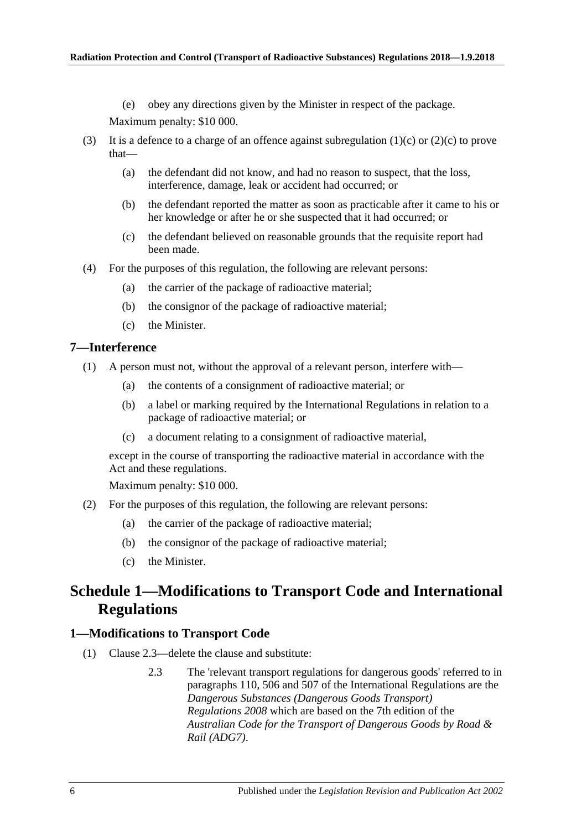(e) obey any directions given by the Minister in respect of the package.

Maximum penalty: \$10 000.

- (3) It is a defence to a charge of an offence against [subregulation](#page-4-1)  $(1)(c)$  or  $(2)(c)$  to prove that—
	- (a) the defendant did not know, and had no reason to suspect, that the loss, interference, damage, leak or accident had occurred; or
	- (b) the defendant reported the matter as soon as practicable after it came to his or her knowledge or after he or she suspected that it had occurred; or
	- (c) the defendant believed on reasonable grounds that the requisite report had been made.
- (4) For the purposes of this regulation, the following are relevant persons:
	- (a) the carrier of the package of radioactive material;
	- (b) the consignor of the package of radioactive material;
	- (c) the Minister.

### <span id="page-5-0"></span>**7—Interference**

- (1) A person must not, without the approval of a relevant person, interfere with—
	- (a) the contents of a consignment of radioactive material; or
	- (b) a label or marking required by the International Regulations in relation to a package of radioactive material; or
	- (c) a document relating to a consignment of radioactive material,

except in the course of transporting the radioactive material in accordance with the Act and these regulations.

Maximum penalty: \$10 000.

- (2) For the purposes of this regulation, the following are relevant persons:
	- (a) the carrier of the package of radioactive material;
	- (b) the consignor of the package of radioactive material;
	- (c) the Minister.

## <span id="page-5-1"></span>**Schedule 1—Modifications to Transport Code and International Regulations**

### <span id="page-5-2"></span>**1—Modifications to Transport Code**

- (1) Clause 2.3—delete the clause and substitute:
	- 2.3 The 'relevant transport regulations for dangerous goods' referred to in paragraphs 110, 506 and 507 of the International Regulations are the *[Dangerous Substances \(Dangerous Goods Transport\)](http://www.legislation.sa.gov.au/index.aspx?action=legref&type=subordleg&legtitle=Dangerous%20Substances%20(Dangerous%20Goods%20Transport)%20Regulations%202008)  [Regulations](http://www.legislation.sa.gov.au/index.aspx?action=legref&type=subordleg&legtitle=Dangerous%20Substances%20(Dangerous%20Goods%20Transport)%20Regulations%202008) 2008* which are based on the 7th edition of the *Australian Code for the Transport of Dangerous Goods by Road & Rail (ADG7)*.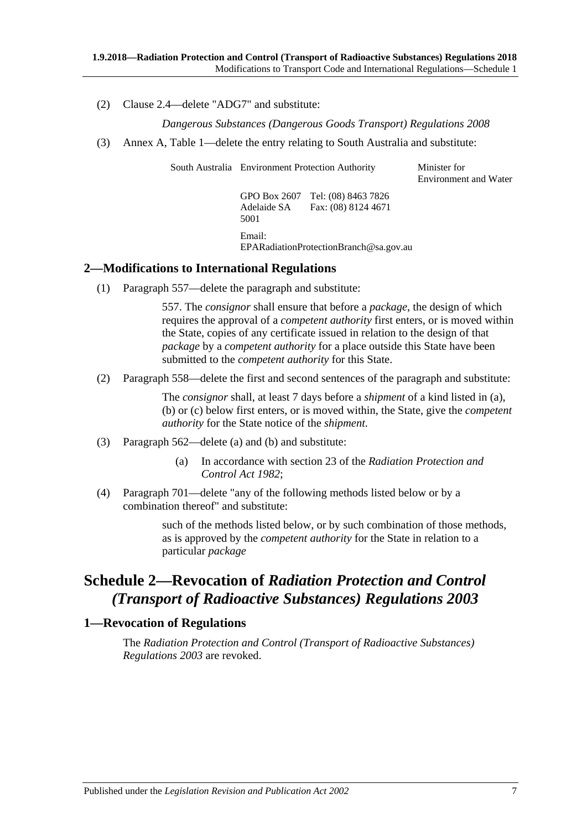(2) Clause 2.4—delete "ADG7" and substitute:

*[Dangerous Substances \(Dangerous Goods Transport\) Regulations](http://www.legislation.sa.gov.au/index.aspx?action=legref&type=subordleg&legtitle=Dangerous%20Substances%20(Dangerous%20Goods%20Transport)%20Regulations%202008) 2008*

(3) Annex A, Table 1—delete the entry relating to South Australia and substitute:

South Australia Environment Protection Authority Minister for

Environment and Water

GPO Box 2607 Tel: (08) 8463 7826 Adelaide SA 5001 Fax: (08) 8124 4671 Email: EPARadiationProtectionBranch@sa.gov.au

### <span id="page-6-0"></span>**2—Modifications to International Regulations**

(1) Paragraph 557—delete the paragraph and substitute:

557. The *consignor* shall ensure that before a *package*, the design of which requires the approval of a *competent authority* first enters, or is moved within the State, copies of any certificate issued in relation to the design of that *package* by a *competent authority* for a place outside this State have been submitted to the *competent authority* for this State.

(2) Paragraph 558—delete the first and second sentences of the paragraph and substitute:

The *consignor* shall, at least 7 days before a *shipment* of a kind listed in (a), (b) or (c) below first enters, or is moved within, the State, give the *competent authority* for the State notice of the *shipment*.

- (3) Paragraph 562—delete (a) and (b) and substitute:
	- (a) In accordance with section 23 of the *[Radiation Protection and](http://www.legislation.sa.gov.au/index.aspx?action=legref&type=act&legtitle=Radiation%20Protection%20and%20Control%20Act%201982)  [Control Act 1982](http://www.legislation.sa.gov.au/index.aspx?action=legref&type=act&legtitle=Radiation%20Protection%20and%20Control%20Act%201982)*;
- (4) Paragraph 701—delete "any of the following methods listed below or by a combination thereof" and substitute:

such of the methods listed below, or by such combination of those methods, as is approved by the *competent authority* for the State in relation to a particular *package*

## <span id="page-6-1"></span>**Schedule 2—Revocation of** *Radiation Protection and Control (Transport of Radioactive Substances) Regulations 2003*

### <span id="page-6-2"></span>**1—Revocation of Regulations**

The *[Radiation Protection and Control \(Transport of Radioactive Substances\)](http://www.legislation.sa.gov.au/index.aspx?action=legref&type=subordleg&legtitle=Radiation%20Protection%20and%20Control%20(Transport%20of%20Radioactive%20Substances)%20Regulations%202003)  [Regulations](http://www.legislation.sa.gov.au/index.aspx?action=legref&type=subordleg&legtitle=Radiation%20Protection%20and%20Control%20(Transport%20of%20Radioactive%20Substances)%20Regulations%202003) 2003* are revoked.